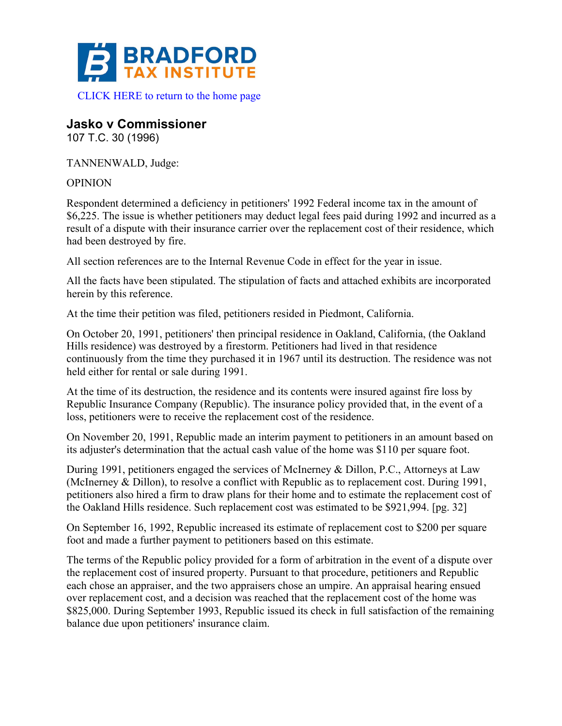

**Jasko v Commissioner**

107 T.C. 30 (1996)

TANNENWALD, Judge:

OPINION

Respondent determined a deficiency in petitioners' 1992 Federal income tax in the amount of \$6,225. The issue is whether petitioners may deduct legal fees paid during 1992 and incurred as a result of a dispute with their insurance carrier over the replacement cost of their residence, which had been destroyed by fire.

All section references are to the Internal Revenue Code in effect for the year in issue.

All the facts have been stipulated. The stipulation of facts and attached exhibits are incorporated herein by this reference.

At the time their petition was filed, petitioners resided in Piedmont, California.

On October 20, 1991, petitioners' then principal residence in Oakland, California, (the Oakland Hills residence) was destroyed by a firestorm. Petitioners had lived in that residence continuously from the time they purchased it in 1967 until its destruction. The residence was not held either for rental or sale during 1991.

At the time of its destruction, the residence and its contents were insured against fire loss by Republic Insurance Company (Republic). The insurance policy provided that, in the event of a loss, petitioners were to receive the replacement cost of the residence.

On November 20, 1991, Republic made an interim payment to petitioners in an amount based on its adjuster's determination that the actual cash value of the home was \$110 per square foot.

During 1991, petitioners engaged the services of McInerney & Dillon, P.C., Attorneys at Law (McInerney & Dillon), to resolve a conflict with Republic as to replacement cost. During 1991, petitioners also hired a firm to draw plans for their home and to estimate the replacement cost of the Oakland Hills residence. Such replacement cost was estimated to be \$921,994. [pg. 32]

On September 16, 1992, Republic increased its estimate of replacement cost to \$200 per square foot and made a further payment to petitioners based on this estimate.

The terms of the Republic policy provided for a form of arbitration in the event of a dispute over the replacement cost of insured property. Pursuant to that procedure, petitioners and Republic each chose an appraiser, and the two appraisers chose an umpire. An appraisal hearing ensued over replacement cost, and a decision was reached that the replacement cost of the home was \$825,000. During September 1993, Republic issued its check in full satisfaction of the remaining balance due upon petitioners' insurance claim.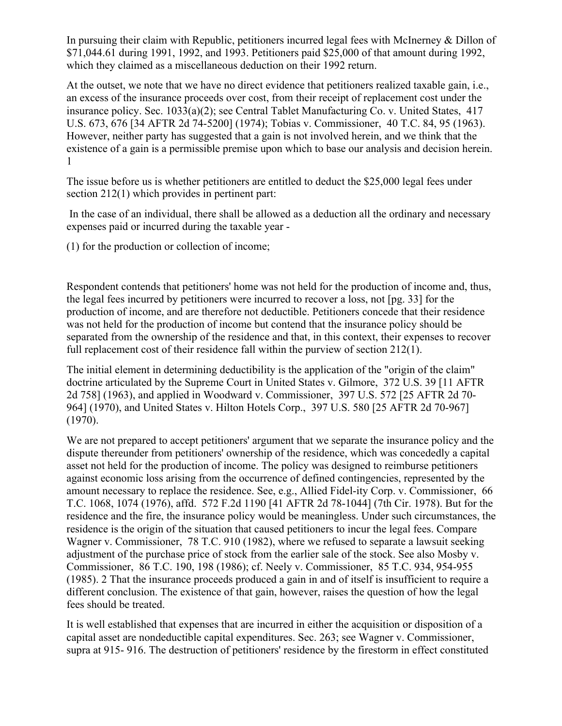In pursuing their claim with Republic, petitioners incurred legal fees with McInerney & Dillon of \$71,044.61 during 1991, 1992, and 1993. Petitioners paid \$25,000 of that amount during 1992, which they claimed as a miscellaneous deduction on their 1992 return.

At the outset, we note that we have no direct evidence that petitioners realized taxable gain, i.e., an excess of the insurance proceeds over cost, from their receipt of replacement cost under the insurance policy. Sec. 1033(a)(2); see Central Tablet Manufacturing Co. v. United States, 417 U.S. 673, 676 [34 AFTR 2d 74-5200] (1974); Tobias v. Commissioner, 40 T.C. 84, 95 (1963). However, neither party has suggested that a gain is not involved herein, and we think that the existence of a gain is a permissible premise upon which to base our analysis and decision herein. 1

The issue before us is whether petitioners are entitled to deduct the \$25,000 legal fees under section 212(1) which provides in pertinent part:

In the case of an individual, there shall be allowed as a deduction all the ordinary and necessary expenses paid or incurred during the taxable year -

(1) for the production or collection of income;

Respondent contends that petitioners' home was not held for the production of income and, thus, the legal fees incurred by petitioners were incurred to recover a loss, not [pg. 33] for the production of income, and are therefore not deductible. Petitioners concede that their residence was not held for the production of income but contend that the insurance policy should be separated from the ownership of the residence and that, in this context, their expenses to recover full replacement cost of their residence fall within the purview of section 212(1).

The initial element in determining deductibility is the application of the "origin of the claim" doctrine articulated by the Supreme Court in United States v. Gilmore, 372 U.S. 39 [11 AFTR 2d 758] (1963), and applied in Woodward v. Commissioner, 397 U.S. 572 [25 AFTR 2d 70- 964] (1970), and United States v. Hilton Hotels Corp., 397 U.S. 580 [25 AFTR 2d 70-967] (1970).

We are not prepared to accept petitioners' argument that we separate the insurance policy and the dispute thereunder from petitioners' ownership of the residence, which was concededly a capital asset not held for the production of income. The policy was designed to reimburse petitioners against economic loss arising from the occurrence of defined contingencies, represented by the amount necessary to replace the residence. See, e.g., Allied Fidel-ity Corp. v. Commissioner, 66 T.C. 1068, 1074 (1976), affd. 572 F.2d 1190 [41 AFTR 2d 78-1044] (7th Cir. 1978). But for the residence and the fire, the insurance policy would be meaningless. Under such circumstances, the residence is the origin of the situation that caused petitioners to incur the legal fees. Compare Wagner v. Commissioner, 78 T.C. 910 (1982), where we refused to separate a lawsuit seeking adjustment of the purchase price of stock from the earlier sale of the stock. See also Mosby v. Commissioner, 86 T.C. 190, 198 (1986); cf. Neely v. Commissioner, 85 T.C. 934, 954-955 (1985). 2 That the insurance proceeds produced a gain in and of itself is insufficient to require a different conclusion. The existence of that gain, however, raises the question of how the legal fees should be treated.

It is well established that expenses that are incurred in either the acquisition or disposition of a capital asset are nondeductible capital expenditures. Sec. 263; see Wagner v. Commissioner, supra at 915- 916. The destruction of petitioners' residence by the firestorm in effect constituted